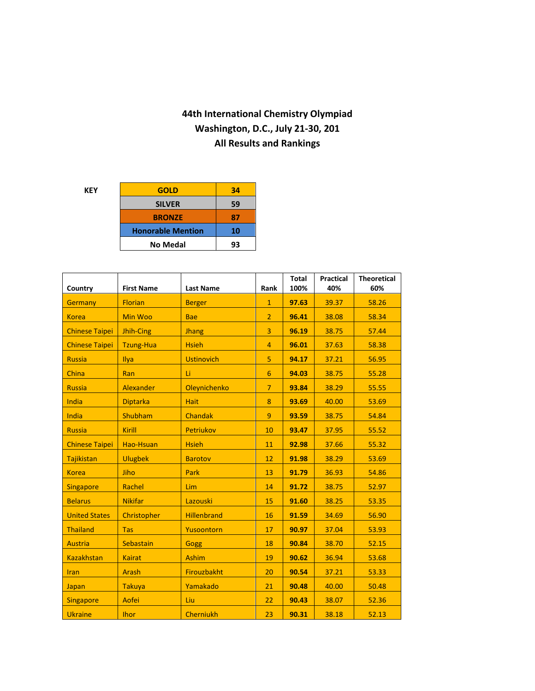## **44th International Chemistry Olympiad Washington, D.C., July 21-30, 201 All Results and Rankings**

| KEY | <b>GOLD</b>              | 34 |
|-----|--------------------------|----|
|     | <b>SILVER</b>            | 59 |
|     | <b>BRONZE</b>            | 87 |
|     | <b>Honorable Mention</b> | 10 |
|     | <b>No Medal</b>          | 93 |
|     |                          |    |

| Country               | <b>First Name</b> | <b>Last Name</b>   | Rank           | <b>Total</b><br>100% | <b>Practical</b><br>40% | <b>Theoretical</b><br>60% |
|-----------------------|-------------------|--------------------|----------------|----------------------|-------------------------|---------------------------|
| <b>Germany</b>        | <b>Florian</b>    | <b>Berger</b>      | $\mathbf{1}$   | 97.63                | 39.37                   | 58.26                     |
| <b>Korea</b>          | Min Woo           | <b>Bae</b>         | $\overline{2}$ | 96.41                | 38.08                   | 58.34                     |
| <b>Chinese Taipei</b> | Jhih-Cing         | <b>Jhang</b>       | 3              | 96.19                | 38.75                   | 57.44                     |
| <b>Chinese Taipei</b> | <b>Tzung-Hua</b>  | <b>Hsieh</b>       | $\overline{4}$ | 96.01                | 37.63                   | 58.38                     |
| <b>Russia</b>         | Ilya              | <b>Ustinovich</b>  | 5              | 94.17                | 37.21                   | 56.95                     |
| China                 | Ran               | Li                 | 6              | 94.03                | 38.75                   | 55.28                     |
| <b>Russia</b>         | Alexander         | Oleynichenko       | $\overline{7}$ | 93.84                | 38.29                   | 55.55                     |
| India                 | <b>Diptarka</b>   | <b>Hait</b>        | 8              | 93.69                | 40.00                   | 53.69                     |
| India                 | Shubham           | <b>Chandak</b>     | $\overline{9}$ | 93.59                | 38.75                   | 54.84                     |
| <b>Russia</b>         | Kirill            | Petriukov          | 10             | 93.47                | 37.95                   | 55.52                     |
| <b>Chinese Taipei</b> | Hao-Hsuan         | <b>Hsieh</b>       | 11             | 92.98                | 37.66                   | 55.32                     |
| Tajikistan            | <b>Ulugbek</b>    | <b>Barotov</b>     | 12             | 91.98                | 38.29                   | 53.69                     |
| <b>Korea</b>          | Jiho              | Park               | 13             | 91.79                | 36.93                   | 54.86                     |
| <b>Singapore</b>      | Rachel            | Lim                | 14             | 91.72                | 38.75                   | 52.97                     |
| <b>Belarus</b>        | <b>Nikifar</b>    | Lazouski           | 15             | 91.60                | 38.25                   | 53.35                     |
| <b>United States</b>  | Christopher       | <b>Hillenbrand</b> | 16             | 91.59                | 34.69                   | 56.90                     |
| <b>Thailand</b>       | <b>Tas</b>        | Yusoontorn         | 17             | 90.97                | 37.04                   | 53.93                     |
| <b>Austria</b>        | Sebastain         | <b>Gogg</b>        | 18             | 90.84                | 38.70                   | 52.15                     |
| <b>Kazakhstan</b>     | <b>Kairat</b>     | <b>Ashim</b>       | 19             | 90.62                | 36.94                   | 53.68                     |
| <b>Iran</b>           | <b>Arash</b>      | Firouzbakht        | 20             | 90.54                | 37.21                   | 53.33                     |
| Japan                 | <b>Takuya</b>     | Yamakado           | 21             | 90.48                | 40.00                   | 50.48                     |
| <b>Singapore</b>      | Aofei             | Liu                | 22             | 90.43                | 38.07                   | 52.36                     |
| <b>Ukraine</b>        | <b>Ihor</b>       | <b>Cherniukh</b>   | 23             | 90.31                | 38.18                   | 52.13                     |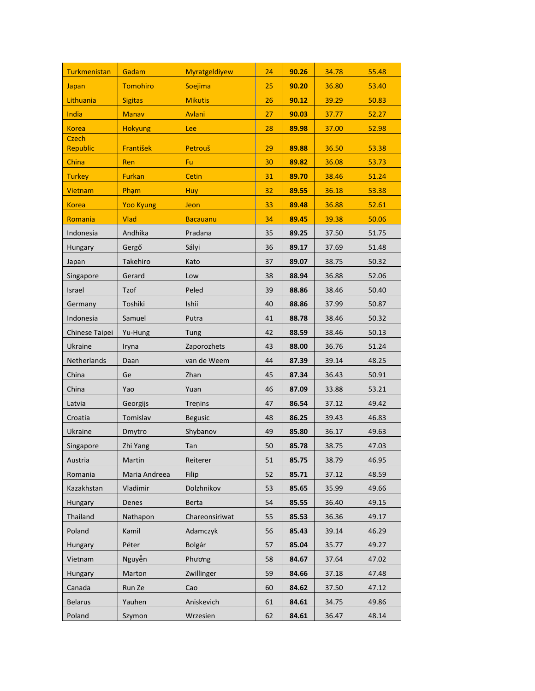| <b>Turkmenistan</b> | Gadam            | Myratgeldiyew   | 24 | 90.26 | 34.78 | 55.48 |
|---------------------|------------------|-----------------|----|-------|-------|-------|
| Japan               | <b>Tomohiro</b>  | Soejima         | 25 | 90.20 | 36.80 | 53.40 |
| Lithuania           | <b>Sigitas</b>   | <b>Mikutis</b>  | 26 | 90.12 | 39.29 | 50.83 |
| India               | <b>Manav</b>     | Avlani          | 27 | 90.03 | 37.77 | 52.27 |
| <b>Korea</b>        | <b>Hokyung</b>   | Lee             | 28 | 89.98 | 37.00 | 52.98 |
| Czech               |                  |                 |    |       |       |       |
| Republic            | František        | Petrouš         | 29 | 89.88 | 36.50 | 53.38 |
| China               | Ren              | Fu              | 30 | 89.82 | 36.08 | 53.73 |
| <b>Turkey</b>       | <b>Furkan</b>    | Cetin           | 31 | 89.70 | 38.46 | 51.24 |
| Vietnam             | Pham             | <b>Huy</b>      | 32 | 89.55 | 36.18 | 53.38 |
| <b>Korea</b>        | <b>Yoo Kyung</b> | Jeon            | 33 | 89.48 | 36.88 | 52.61 |
| <b>Romania</b>      | <b>Vlad</b>      | <b>Bacauanu</b> | 34 | 89.45 | 39.38 | 50.06 |
| Indonesia           | Andhika          | Pradana         | 35 | 89.25 | 37.50 | 51.75 |
| Hungary             | Gergő            | Sályi           | 36 | 89.17 | 37.69 | 51.48 |
| Japan               | Takehiro         | Kato            | 37 | 89.07 | 38.75 | 50.32 |
| Singapore           | Gerard           | Low             | 38 | 88.94 | 36.88 | 52.06 |
| Israel              | Tzof             | Peled           | 39 | 88.86 | 38.46 | 50.40 |
| Germany             | Toshiki          | Ishii           | 40 | 88.86 | 37.99 | 50.87 |
| Indonesia           | Samuel           | Putra           | 41 | 88.78 | 38.46 | 50.32 |
| Chinese Taipei      | Yu-Hung          | Tung            | 42 | 88.59 | 38.46 | 50.13 |
| Ukraine             | Iryna            | Zaporozhets     | 43 | 88.00 | 36.76 | 51.24 |
| Netherlands         | Daan             | van de Weem     | 44 | 87.39 | 39.14 | 48.25 |
| China               | Ge               | Zhan            | 45 | 87.34 | 36.43 | 50.91 |
| China               | Yao              | Yuan            | 46 | 87.09 | 33.88 | 53.21 |
| Latvia              | Georgijs         | Treņins         | 47 | 86.54 | 37.12 | 49.42 |
| Croatia             | Tomislav         | <b>Begusic</b>  | 48 | 86.25 | 39.43 | 46.83 |
| <b>Ukraine</b>      | Dmytro           | Shybanov        | 49 | 85.80 | 36.17 | 49.63 |
| Singapore           | Zhi Yang         | Tan             | 50 | 85.78 | 38.75 | 47.03 |
| Austria             | Martin           | Reiterer        | 51 | 85.75 | 38.79 | 46.95 |
| Romania             | Maria Andreea    | Filip           | 52 | 85.71 | 37.12 | 48.59 |
| Kazakhstan          | Vladimir         | Dolzhnikov      | 53 | 85.65 | 35.99 | 49.66 |
| Hungary             | Denes            | <b>Berta</b>    | 54 | 85.55 | 36.40 | 49.15 |
| Thailand            | Nathapon         | Chareonsiriwat  | 55 | 85.53 | 36.36 | 49.17 |
| Poland              | Kamil            | Adamczyk        | 56 | 85.43 | 39.14 | 46.29 |
| Hungary             | Péter            | Bolgár          | 57 | 85.04 | 35.77 | 49.27 |
| Vietnam             | Nguyễn           | Phương          | 58 | 84.67 | 37.64 | 47.02 |
| <b>Hungary</b>      | Marton           | Zwillinger      | 59 | 84.66 | 37.18 | 47.48 |
| Canada              | Run Ze           | Cao             | 60 | 84.62 | 37.50 | 47.12 |
| <b>Belarus</b>      | Yauhen           | Aniskevich      | 61 | 84.61 | 34.75 | 49.86 |
| Poland              | Szymon           | Wrzesien        | 62 | 84.61 | 36.47 | 48.14 |
|                     |                  |                 |    |       |       |       |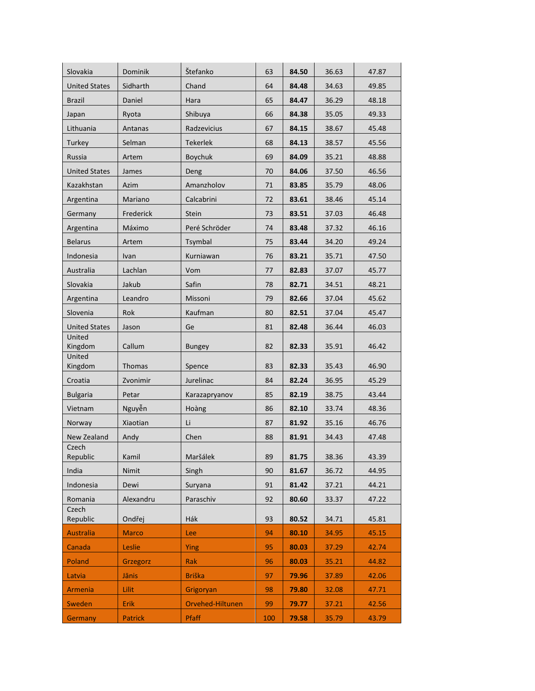| Slovakia             | <b>Dominik</b>    | Štefanko                      | 63  | 84.50 | 36.63 | 47.87 |
|----------------------|-------------------|-------------------------------|-----|-------|-------|-------|
| <b>United States</b> | Sidharth          | Chand                         | 64  | 84.48 | 34.63 | 49.85 |
| <b>Brazil</b>        | Daniel            | Hara                          | 65  | 84.47 | 36.29 | 48.18 |
| Japan                | Ryota             | Shibuya                       | 66  | 84.38 | 35.05 | 49.33 |
| Lithuania            | Antanas           | Radzevicius                   | 67  | 84.15 | 38.67 | 45.48 |
| Turkey               | Selman            | <b>Tekerlek</b>               | 68  | 84.13 | 38.57 | 45.56 |
| Russia               | Artem             | <b>Boychuk</b>                | 69  | 84.09 | 35.21 | 48.88 |
| <b>United States</b> | James             | Deng                          | 70  | 84.06 | 37.50 | 46.56 |
| Kazakhstan           | Azim              | Amanzholov                    | 71  | 83.85 | 35.79 | 48.06 |
| Argentina            | Mariano           | Calcabrini                    | 72  | 83.61 | 38.46 | 45.14 |
| Germany              | Frederick         | Stein                         | 73  | 83.51 | 37.03 | 46.48 |
| Argentina            | Máximo            | Peré Schröder                 | 74  | 83.48 | 37.32 | 46.16 |
| <b>Belarus</b>       | Artem             | Tsymbal                       | 75  | 83.44 | 34.20 | 49.24 |
| Indonesia            | Ivan              | Kurniawan                     | 76  | 83.21 | 35.71 | 47.50 |
| Australia            | Lachlan           | Vom                           | 77  | 82.83 | 37.07 | 45.77 |
| Slovakia             | Jakub             | Safin                         | 78  | 82.71 | 34.51 | 48.21 |
| Argentina            | Leandro           | Missoni                       | 79  | 82.66 | 37.04 | 45.62 |
| Slovenia             | Rok               | Kaufman                       | 80  | 82.51 | 37.04 | 45.47 |
| <b>United States</b> | Jason             | Ge                            | 81  | 82.48 | 36.44 | 46.03 |
| United<br>Kingdom    | Callum            |                               | 82  | 82.33 | 35.91 | 46.42 |
| United               |                   | Bungey                        |     |       |       |       |
| Kingdom              | Thomas            | Spence                        | 83  | 82.33 | 35.43 | 46.90 |
| Croatia              | Zvonimir          | Jurelinac                     | 84  | 82.24 | 36.95 | 45.29 |
| <b>Bulgaria</b>      | Petar             | Karazapryanov                 | 85  | 82.19 | 38.75 | 43.44 |
| Vietnam              | Nguyễn            | Hoàng                         | 86  | 82.10 | 33.74 | 48.36 |
| Norway               | Xiaotian          | Li                            | 87  | 81.92 | 35.16 | 46.76 |
| <b>New Zealand</b>   | Andy              | Chen                          | 88  | 81.91 | 34.43 | 47.48 |
| Czech<br>Republic    | Kamil             | Maršálek                      | 89  | 81.75 | 38.36 | 43.39 |
| India                | Nimit             | Singh                         | 90  | 81.67 | 36.72 | 44.95 |
| Indonesia            | Dewi              | Suryana                       | 91  | 81.42 | 37.21 | 44.21 |
| Romania              | Alexandru         | Paraschiv                     | 92  | 80.60 | 33.37 | 47.22 |
| Czech<br>Republic    | Ondřej            | Hák                           | 93  | 80.52 | 34.71 | 45.81 |
| <b>Australia</b>     | <b>Marco</b>      | Lee                           | 94  | 80.10 | 34.95 | 45.15 |
| Canada               | Leslie            |                               | 95  | 80.03 | 37.29 | 42.74 |
| Poland               |                   | Ying<br>Rak                   | 96  | 80.03 | 35.21 | 44.82 |
|                      | Grzegorz<br>Jānis | <b>Briška</b>                 | 97  | 79.96 | 37.89 | 42.06 |
| Latvia<br>Armenia    | <b>Lilit</b>      |                               | 98  | 79.80 | 32.08 | 47.71 |
| Sweden               | <b>Erik</b>       | Grigoryan<br>Orvehed-Hiltunen | 99  | 79.77 | 37.21 | 42.56 |
|                      |                   |                               |     |       |       |       |
| Germany              | <b>Patrick</b>    | Pfaff                         | 100 | 79.58 | 35.79 | 43.79 |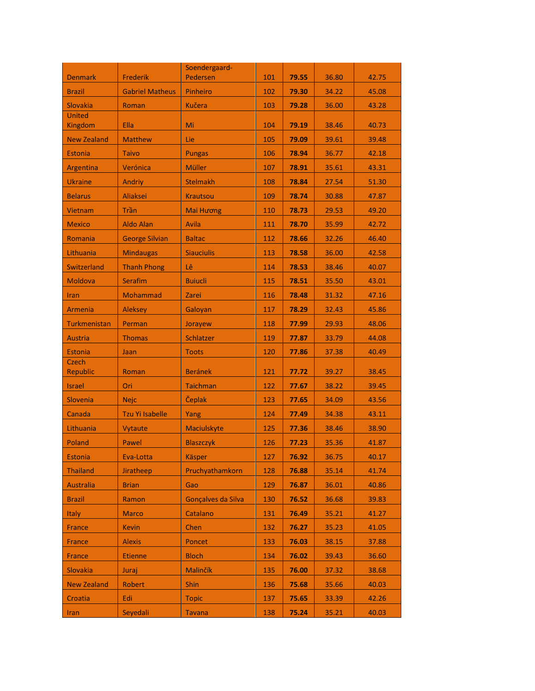|                          |                        | Soendergaard-      |     |       |       |       |
|--------------------------|------------------------|--------------------|-----|-------|-------|-------|
| <b>Denmark</b>           | <b>Frederik</b>        | Pedersen           | 101 | 79.55 | 36.80 | 42.75 |
| <b>Brazil</b>            | <b>Gabriel Matheus</b> | Pinheiro           | 102 | 79.30 | 34.22 | 45.08 |
| Slovakia                 | Roman                  | <b>Kučera</b>      | 103 | 79.28 | 36.00 | 43.28 |
| <b>United</b><br>Kingdom | Ella                   | Mi                 | 104 | 79.19 | 38.46 | 40.73 |
| <b>New Zealand</b>       | <b>Matthew</b>         | Lie                | 105 | 79.09 | 39.61 | 39.48 |
| <b>Estonia</b>           | <b>Taivo</b>           | <b>Pungas</b>      | 106 | 78.94 | 36.77 | 42.18 |
| Argentina                | Verónica               | Müller             | 107 | 78.91 | 35.61 | 43.31 |
| <b>Ukraine</b>           | Andriy                 | <b>Stelmakh</b>    | 108 | 78.84 | 27.54 | 51.30 |
| <b>Belarus</b>           | <b>Aliaksei</b>        | <b>Krautsou</b>    | 109 | 78.74 | 30.88 | 47.87 |
| <b>Vietnam</b>           | Trần                   | <b>Mai Hương</b>   | 110 | 78.73 | 29.53 | 49.20 |
| <b>Mexico</b>            | <b>Aldo Alan</b>       | Avila              | 111 | 78.70 | 35.99 | 42.72 |
| Romania                  | <b>George Silvian</b>  | <b>Baltac</b>      | 112 | 78.66 | 32.26 | 46.40 |
| Lithuania                | <b>Mindaugas</b>       | <b>Siauciulis</b>  | 113 | 78.58 | 36.00 | 42.58 |
| <b>Switzerland</b>       | <b>Thanh Phong</b>     | Lê                 | 114 | 78.53 | 38.46 | 40.07 |
| Moldova                  | Serafim                | <b>Buiucli</b>     | 115 | 78.51 | 35.50 | 43.01 |
| Iran                     | Mohammad               | Zarei              | 116 | 78.48 | 31.32 | 47.16 |
| <b>Armenia</b>           | <b>Aleksey</b>         | Galoyan            | 117 | 78.29 | 32.43 | 45.86 |
| Turkmenistan             | Perman                 | Jorayew            | 118 | 77.99 | 29.93 | 48.06 |
| <b>Austria</b>           | <b>Thomas</b>          | Schlatzer          | 119 | 77.87 | 33.79 | 44.08 |
| <b>Estonia</b>           | Jaan                   | <b>Toots</b>       | 120 | 77.86 | 37.38 | 40.49 |
| <b>Czech</b><br>Republic | Roman                  | <b>Beránek</b>     | 121 | 77.72 | 39.27 | 38.45 |
| <b>Israel</b>            | Ori                    | <b>Taichman</b>    | 122 | 77.67 | 38.22 | 39.45 |
| Slovenia                 | <b>Nejc</b>            | Čeplak             | 123 | 77.65 | 34.09 | 43.56 |
| Canada                   | <b>Tzu Yi Isabelle</b> | Yang               | 124 | 77.49 | 34.38 | 43.11 |
| Lithuania                | Vytaute                | Maciulskyte        | 125 | 77.36 | 38.46 | 38.90 |
| Poland                   | Pawel                  | <b>Blaszczyk</b>   | 126 | 77.23 | 35.36 | 41.87 |
| <b>Estonia</b>           | Eva-Lotta              | <b>Käsper</b>      | 127 | 76.92 | 36.75 | 40.17 |
| <b>Thailand</b>          | Jiratheep              | Pruchyathamkorn    | 128 | 76.88 | 35.14 | 41.74 |
| <b>Australia</b>         | <b>Brian</b>           | Gao                | 129 | 76.87 | 36.01 | 40.86 |
| <b>Brazil</b>            | Ramon                  | Gonçalves da Silva | 130 | 76.52 | 36.68 | 39.83 |
| <b>Italy</b>             | <b>Marco</b>           | Catalano           | 131 | 76.49 | 35.21 | 41.27 |
| <b>France</b>            | <b>Kevin</b>           | Chen               | 132 | 76.27 | 35.23 | 41.05 |
| <b>France</b>            | <b>Alexis</b>          | Poncet             | 133 | 76.03 | 38.15 | 37.88 |
| <b>France</b>            | <b>Etienne</b>         | <b>Bloch</b>       | 134 | 76.02 | 39.43 | 36.60 |
| Slovakia                 | Juraj                  | Malinčík           | 135 | 76.00 | 37.32 | 38.68 |
| <b>New Zealand</b>       | Robert                 | Shin               | 136 | 75.68 | 35.66 | 40.03 |
| Croatia                  | Edi                    | <b>Topic</b>       | 137 | 75.65 | 33.39 | 42.26 |
| Iran                     | Seyedali               | <b>Tavana</b>      | 138 | 75.24 | 35.21 | 40.03 |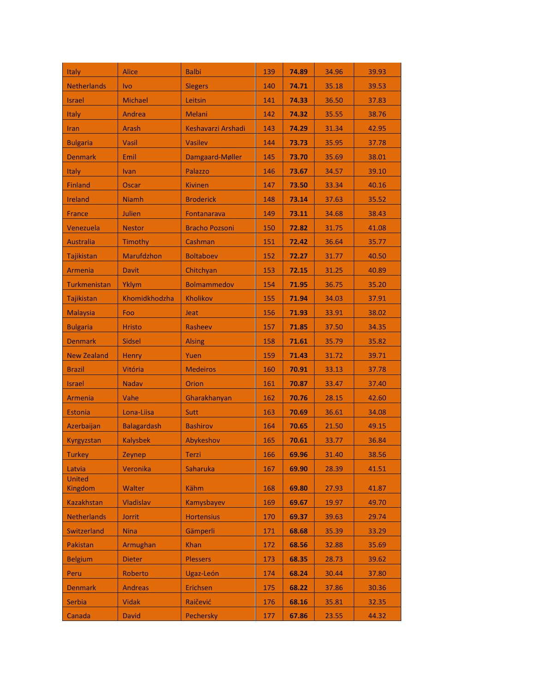| Italy                    | Alice              | <b>Balbi</b>          | 139 | 74.89 | 34.96 | 39.93 |
|--------------------------|--------------------|-----------------------|-----|-------|-------|-------|
| <b>Netherlands</b>       | <b>Ivo</b>         | <b>Slegers</b>        | 140 | 74.71 | 35.18 | 39.53 |
| <b>Israel</b>            | Michael            | Leitsin               | 141 | 74.33 | 36.50 | 37.83 |
| <b>Italy</b>             | Andrea             | <b>Melani</b>         | 142 | 74.32 | 35.55 | 38.76 |
| Iran                     | Arash              | Keshavarzi Arshadi    | 143 | 74.29 | 31.34 | 42.95 |
| <b>Bulgaria</b>          | Vasil              | <b>Vasilev</b>        | 144 | 73.73 | 35.95 | 37.78 |
| <b>Denmark</b>           | Emil               | Damgaard-Møller       | 145 | 73.70 | 35.69 | 38.01 |
| <b>Italy</b>             | <b>Ivan</b>        | Palazzo               | 146 | 73.67 | 34.57 | 39.10 |
| <b>Finland</b>           | Oscar              | <b>Kivinen</b>        | 147 | 73.50 | 33.34 | 40.16 |
| <b>Ireland</b>           | <b>Niamh</b>       | <b>Broderick</b>      | 148 | 73.14 | 37.63 | 35.52 |
| <b>France</b>            | Julien             | Fontanarava           | 149 | 73.11 | 34.68 | 38.43 |
| Venezuela                | <b>Nestor</b>      | <b>Bracho Pozsoni</b> | 150 | 72.82 | 31.75 | 41.08 |
| <b>Australia</b>         | Timothy            | Cashman               | 151 | 72.42 | 36.64 | 35.77 |
| Tajikistan               | Marufdzhon         | <b>Boltaboev</b>      | 152 | 72.27 | 31.77 | 40.50 |
| Armenia                  | <b>Davit</b>       | Chitchyan             | 153 | 72.15 | 31.25 | 40.89 |
| Turkmenistan             | <b>Yklym</b>       | <b>Bolmammedov</b>    | 154 | 71.95 | 36.75 | 35.20 |
| <b>Tajikistan</b>        | Khomidkhodzha      | <b>Kholikov</b>       | 155 | 71.94 | 34.03 | 37.91 |
| <b>Malaysia</b>          | Foo                | <b>Jeat</b>           | 156 | 71.93 | 33.91 | 38.02 |
| <b>Bulgaria</b>          | <b>Hristo</b>      | Rasheev               | 157 | 71.85 | 37.50 | 34.35 |
| <b>Denmark</b>           | <b>Sidsel</b>      | <b>Alsing</b>         | 158 | 71.61 | 35.79 | 35.82 |
| <b>New Zealand</b>       | <b>Henry</b>       | Yuen                  | 159 | 71.43 | 31.72 | 39.71 |
| Brazil                   | Vitória            | <b>Medeiros</b>       | 160 | 70.91 | 33.13 | 37.78 |
| <b>Israel</b>            | <b>Nadav</b>       | <b>Orion</b>          | 161 | 70.87 | 33.47 | 37.40 |
| Armenia                  | Vahe               | Gharakhanyan          | 162 | 70.76 | 28.15 | 42.60 |
| <b>Estonia</b>           | Lona-Liisa         | Sutt                  | 163 | 70.69 | 36.61 | 34.08 |
| Azerbaijan               | <b>Balagardash</b> | <b>Bashirov</b>       | 164 | 70.65 | 21.50 | 49.15 |
| Kyrgyzstan               | <b>Kalysbek</b>    | Abykeshov             | 165 | 70.61 | 33.77 | 36.84 |
| Turkey                   | Zeynep             | Terzi                 | 166 | 69.96 | 31.40 | 38.56 |
| Latvia                   | Veronika           | <b>Saharuka</b>       | 167 | 69.90 | 28.39 | 41.51 |
| <b>United</b><br>Kingdom | Walter             | Kähm                  | 168 | 69.80 | 27.93 | 41.87 |
| <b>Kazakhstan</b>        | Vladislav          | Kamysbayev            | 169 | 69.67 | 19.97 | 49.70 |
| <b>Netherlands</b>       | Jorrit             | <b>Hortensius</b>     | 170 | 69.37 | 39.63 | 29.74 |
| Switzerland              | <b>Nina</b>        | Gämperli              | 171 | 68.68 | 35.39 | 33.29 |
| Pakistan                 | Armughan           | <b>Khan</b>           | 172 | 68.56 | 32.88 | 35.69 |
| <b>Belgium</b>           | <b>Dieter</b>      | <b>Plessers</b>       | 173 | 68.35 | 28.73 | 39.62 |
| Peru                     | Roberto            | Ugaz-León             | 174 | 68.24 | 30.44 | 37.80 |
| <b>Denmark</b>           | <b>Andreas</b>     | Erichsen              | 175 | 68.22 | 37.86 | 30.36 |
| Serbia                   | <b>Vidak</b>       | Raičević              | 176 | 68.16 | 35.81 | 32.35 |
| Canada                   | <b>David</b>       | Pechersky             | 177 | 67.86 | 23.55 | 44.32 |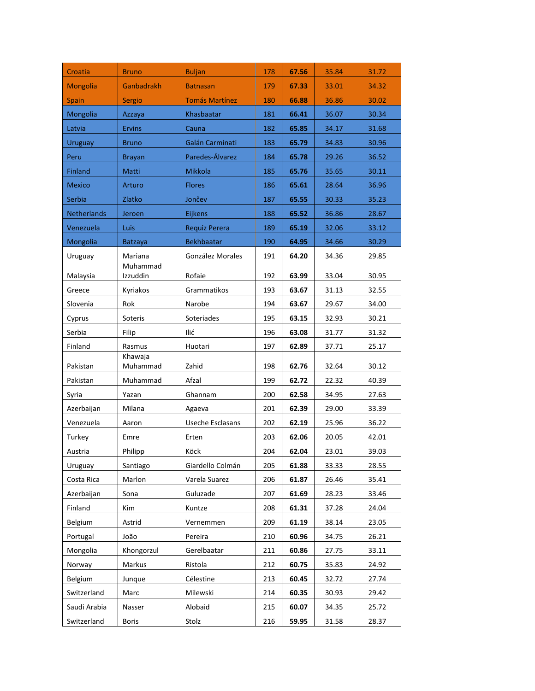| Croatia         | <b>Bruno</b>         | <b>Buljan</b>         | 178 | 67.56 | 35.84 | 31.72 |
|-----------------|----------------------|-----------------------|-----|-------|-------|-------|
| <b>Mongolia</b> | Ganbadrakh           | <b>Batnasan</b>       | 179 | 67.33 | 33.01 | 34.32 |
| <b>Spain</b>    | Sergio               | <b>Tomás Martínez</b> | 180 | 66.88 | 36.86 | 30.02 |
| Mongolia        | Azzaya               | Khasbaatar            | 181 | 66.41 | 36.07 | 30.34 |
| Latvia          | <b>Ervins</b>        | Cauna                 | 182 | 65.85 | 34.17 | 31.68 |
| <b>Uruguay</b>  | <b>Bruno</b>         | Galán Carminati       | 183 | 65.79 | 34.83 | 30.96 |
| Peru            | <b>Brayan</b>        | Paredes-Álvarez       | 184 | 65.78 | 29.26 | 36.52 |
| <b>Finland</b>  | <b>Matti</b>         | <b>Mikkola</b>        | 185 | 65.76 | 35.65 | 30.11 |
| <b>Mexico</b>   | Arturo               | <b>Flores</b>         | 186 | 65.61 | 28.64 | 36.96 |
| Serbia          | Zlatko               | Jončev                | 187 | 65.55 | 30.33 | 35.23 |
| Netherlands     | Jeroen               | Eijkens               | 188 | 65.52 | 36.86 | 28.67 |
| Venezuela       | Luis                 | Requiz Perera         | 189 | 65.19 | 32.06 | 33.12 |
| Mongolia        | <b>Batzaya</b>       | <b>Bekhbaatar</b>     | 190 | 64.95 | 34.66 | 30.29 |
| Uruguay         | Mariana              | González Morales      | 191 | 64.20 | 34.36 | 29.85 |
| Malaysia        | Muhammad<br>Izzuddin | Rofaie                | 192 | 63.99 | 33.04 | 30.95 |
| Greece          | Kyriakos             | Grammatikos           | 193 | 63.67 | 31.13 | 32.55 |
| Slovenia        | Rok                  | Narobe                | 194 | 63.67 | 29.67 | 34.00 |
| Cyprus          | Soteris              | Soteriades            | 195 | 63.15 | 32.93 | 30.21 |
| Serbia          | Filip                | Ilić                  | 196 | 63.08 | 31.77 | 31.32 |
| Finland         | Rasmus               | Huotari               | 197 | 62.89 | 37.71 | 25.17 |
| Pakistan        | Khawaja<br>Muhammad  | Zahid                 | 198 | 62.76 | 32.64 | 30.12 |
| Pakistan        | Muhammad             | Afzal                 | 199 | 62.72 | 22.32 | 40.39 |
| Syria           | Yazan                | Ghannam               | 200 | 62.58 | 34.95 | 27.63 |
| Azerbaijan      | Milana               | Agaeva                | 201 | 62.39 | 29.00 | 33.39 |
| Venezuela       | Aaron                | Useche Esclasans      | 202 | 62.19 | 25.96 | 36.22 |
| Turkey          | Emre                 | Erten                 | 203 | 62.06 | 20.05 | 42.01 |
| Austria         | Philipp              | Köck                  | 204 | 62.04 | 23.01 | 39.03 |
| Uruguay         | Santiago             | Giardello Colmán      | 205 | 61.88 | 33.33 | 28.55 |
| Costa Rica      | Marlon               | Varela Suarez         | 206 | 61.87 | 26.46 | 35.41 |
| Azerbaijan      | Sona                 | Guluzade              | 207 | 61.69 | 28.23 | 33.46 |
| Finland         | Kim                  | Kuntze                | 208 | 61.31 | 37.28 | 24.04 |
| Belgium         | Astrid               | Vernemmen             | 209 | 61.19 | 38.14 | 23.05 |
| Portugal        | João                 | Pereira               | 210 | 60.96 | 34.75 | 26.21 |
| Mongolia        | Khongorzul           | Gerelbaatar           | 211 | 60.86 | 27.75 | 33.11 |
| Norway          | Markus               | Ristola               | 212 | 60.75 | 35.83 | 24.92 |
| Belgium         | Junque               | Célestine             | 213 | 60.45 | 32.72 | 27.74 |
| Switzerland     | Marc                 | Milewski              | 214 | 60.35 | 30.93 | 29.42 |
| Saudi Arabia    | Nasser               | Alobaid               | 215 | 60.07 | 34.35 | 25.72 |
| Switzerland     | <b>Boris</b>         | Stolz                 | 216 | 59.95 | 31.58 | 28.37 |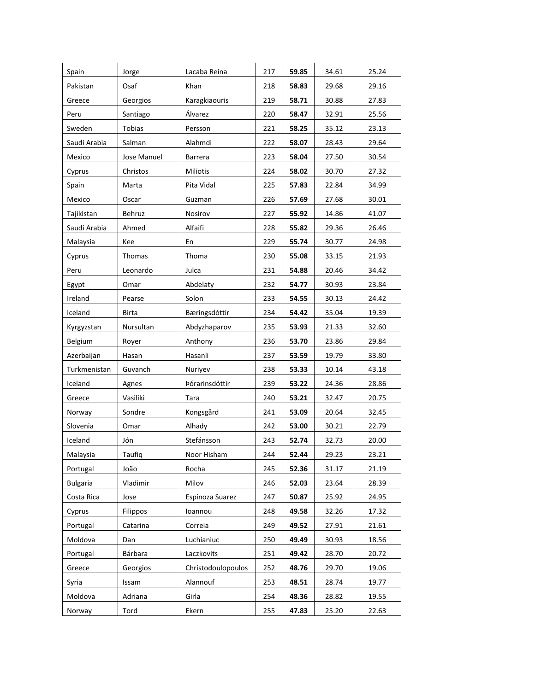| Spain           | Jorge           | Lacaba Reina       | 217 | 59.85 | 34.61 | 25.24 |
|-----------------|-----------------|--------------------|-----|-------|-------|-------|
| Pakistan        | Osaf            | Khan               | 218 | 58.83 | 29.68 | 29.16 |
| Greece          | Georgios        | Karagkiaouris      | 219 | 58.71 | 30.88 | 27.83 |
| Peru            | Santiago        | Álvarez            | 220 | 58.47 | 32.91 | 25.56 |
| Sweden          | <b>Tobias</b>   | Persson            | 221 | 58.25 | 35.12 | 23.13 |
| Saudi Arabia    | Salman          | Alahmdi            | 222 | 58.07 | 28.43 | 29.64 |
| Mexico          | Jose Manuel     | Barrera            | 223 | 58.04 | 27.50 | 30.54 |
| Cyprus          | Christos        | Miliotis           | 224 | 58.02 | 30.70 | 27.32 |
| Spain           | Marta           | Pita Vidal         | 225 | 57.83 | 22.84 | 34.99 |
| Mexico          | Oscar           | Guzman             | 226 | 57.69 | 27.68 | 30.01 |
| Tajikistan      | Behruz          | Nosirov            | 227 | 55.92 | 14.86 | 41.07 |
| Saudi Arabia    | Ahmed           | Alfaifi            | 228 | 55.82 | 29.36 | 26.46 |
| Malaysia        | Kee             | En                 | 229 | 55.74 | 30.77 | 24.98 |
| Cyprus          | Thomas          | Thoma              | 230 | 55.08 | 33.15 | 21.93 |
| Peru            | Leonardo        | Julca              | 231 | 54.88 | 20.46 | 34.42 |
| Egypt           | Omar            | Abdelaty           | 232 | 54.77 | 30.93 | 23.84 |
| Ireland         | Pearse          | Solon              | 233 | 54.55 | 30.13 | 24.42 |
| Iceland         | <b>Birta</b>    | Bæringsdóttir      | 234 | 54.42 | 35.04 | 19.39 |
| Kyrgyzstan      | Nursultan       | Abdyzhaparov       | 235 | 53.93 | 21.33 | 32.60 |
| Belgium         | Royer           | Anthony            | 236 | 53.70 | 23.86 | 29.84 |
| Azerbaijan      | Hasan           | Hasanli            | 237 | 53.59 | 19.79 | 33.80 |
| Turkmenistan    | Guvanch         | Nuriyev            | 238 | 53.33 | 10.14 | 43.18 |
| Iceland         | Agnes           | Þórarinsdóttir     | 239 | 53.22 | 24.36 | 28.86 |
| Greece          | Vasiliki        | Tara               | 240 | 53.21 | 32.47 | 20.75 |
| Norway          | Sondre          | Kongsgård          | 241 | 53.09 | 20.64 | 32.45 |
| Slovenia        | Omar            | Alhady             | 242 | 53.00 | 30.21 | 22.79 |
| Iceland         | Jón             | Stefánsson         | 243 | 52.74 | 32.73 | 20.00 |
| Malaysia        | Taufiq          | Noor Hisham        | 244 | 52.44 | 29.23 | 23.21 |
| Portugal        | João            | Rocha              | 245 | 52.36 | 31.17 | 21.19 |
| <b>Bulgaria</b> | Vladimir        | Milov              | 246 | 52.03 | 23.64 | 28.39 |
| Costa Rica      | Jose            | Espinoza Suarez    | 247 | 50.87 | 25.92 | 24.95 |
| Cyprus          | <b>Filippos</b> | Ioannou            | 248 | 49.58 | 32.26 | 17.32 |
| Portugal        | Catarina        | Correia            | 249 | 49.52 | 27.91 | 21.61 |
| Moldova         | Dan             | Luchianiuc         | 250 | 49.49 | 30.93 | 18.56 |
| Portugal        | Bárbara         | Laczkovits         | 251 | 49.42 | 28.70 | 20.72 |
| Greece          | Georgios        | Christodoulopoulos | 252 | 48.76 | 29.70 | 19.06 |
| Syria           | Issam           | Alannouf           | 253 | 48.51 | 28.74 | 19.77 |
| Moldova         | Adriana         | Girla              | 254 | 48.36 | 28.82 | 19.55 |
| Norway          | Tord            | Ekern              | 255 | 47.83 | 25.20 | 22.63 |
|                 |                 |                    |     |       |       |       |